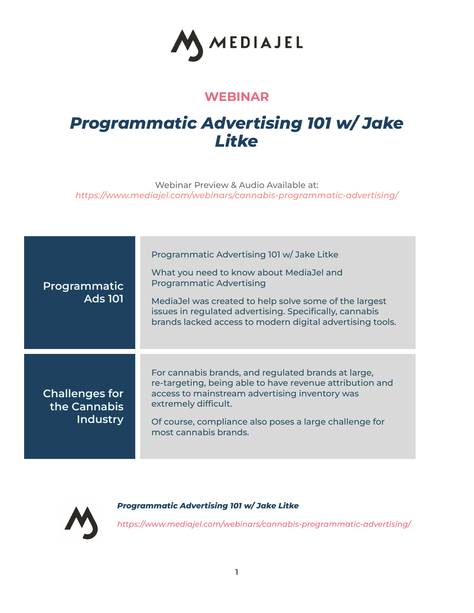

## **WEBINAR**

## *Programmatic Advertising 101 w/ Jake Litke*

Webinar Preview & Audio Available at: *https:/ www.mediajel.com/webinars/cannabis-programmatic-advertising/*

| Programmatic<br><b>Ads 101</b>                    | Programmatic Advertising 101 w/Jake Litke<br>What you need to know about MediaJel and<br><b>Programmatic Advertising</b><br>MediaJel was created to help solve some of the largest<br>issues in regulated advertising. Specifically, cannabis<br>brands lacked access to modern digital advertising tools. |
|---------------------------------------------------|------------------------------------------------------------------------------------------------------------------------------------------------------------------------------------------------------------------------------------------------------------------------------------------------------------|
| <b>Challenges for</b><br>the Cannabis<br>Industry | For cannabis brands, and regulated brands at large,<br>re-targeting, being able to have revenue attribution and<br>access to mainstream advertising inventory was<br>extremely difficult.<br>Of course, compliance also poses a large challenge for<br>most cannabis brands.                               |



*Programmatic Advertising 101 w/ Jake Litke*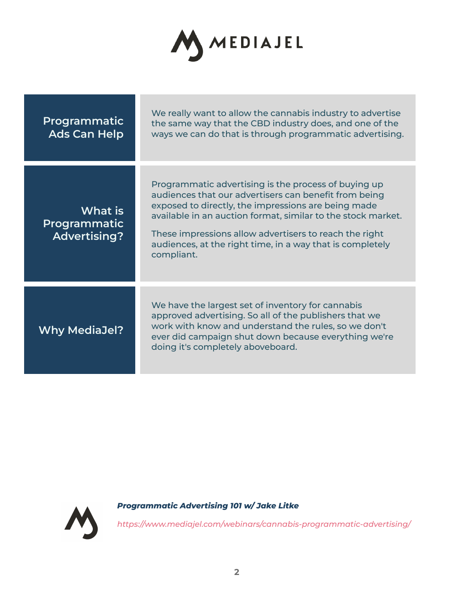

| Programmatic<br><b>Ads Can Help</b>            | We really want to allow the cannabis industry to advertise<br>the same way that the CBD industry does, and one of the<br>ways we can do that is through programmatic advertising.                                                                                                                                                                                         |
|------------------------------------------------|---------------------------------------------------------------------------------------------------------------------------------------------------------------------------------------------------------------------------------------------------------------------------------------------------------------------------------------------------------------------------|
| What is<br>Programmatic<br><b>Advertising?</b> | Programmatic advertising is the process of buying up<br>audiences that our advertisers can benefit from being<br>exposed to directly, the impressions are being made<br>available in an auction format, similar to the stock market.<br>These impressions allow advertisers to reach the right<br>audiences, at the right time, in a way that is completely<br>compliant. |
| <b>Why MediaJel?</b>                           | We have the largest set of inventory for cannabis<br>approved advertising. So all of the publishers that we<br>work with know and understand the rules, so we don't<br>ever did campaign shut down because everything we're<br>doing it's completely aboveboard.                                                                                                          |

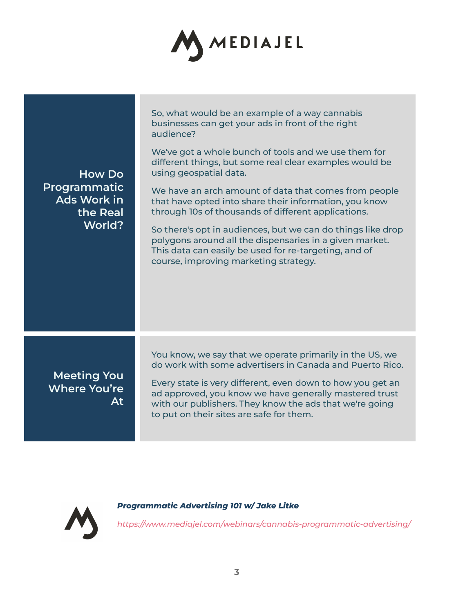

| How Do<br>Programmatic<br>Ads Work in<br>the Real<br>World? | So, what would be an example of a way cannabis<br>businesses can get your ads in front of the right<br>audience?                                                                                                                                                                        |
|-------------------------------------------------------------|-----------------------------------------------------------------------------------------------------------------------------------------------------------------------------------------------------------------------------------------------------------------------------------------|
|                                                             | We've got a whole bunch of tools and we use them for<br>different things, but some real clear examples would be<br>using geospatial data.                                                                                                                                               |
|                                                             | We have an arch amount of data that comes from people<br>that have opted into share their information, you know<br>through 10s of thousands of different applications.                                                                                                                  |
|                                                             | So there's opt in audiences, but we can do things like drop<br>polygons around all the dispensaries in a given market.<br>This data can easily be used for re-targeting, and of<br>course, improving marketing strategy.                                                                |
| <b>Meeting You</b><br>Where You're<br>At                    | You know, we say that we operate primarily in the US, we                                                                                                                                                                                                                                |
|                                                             | do work with some advertisers in Canada and Puerto Rico.<br>Every state is very different, even down to how you get an<br>ad approved, you know we have generally mastered trust<br>with our publishers. They know the ads that we're going<br>to put on their sites are safe for them. |

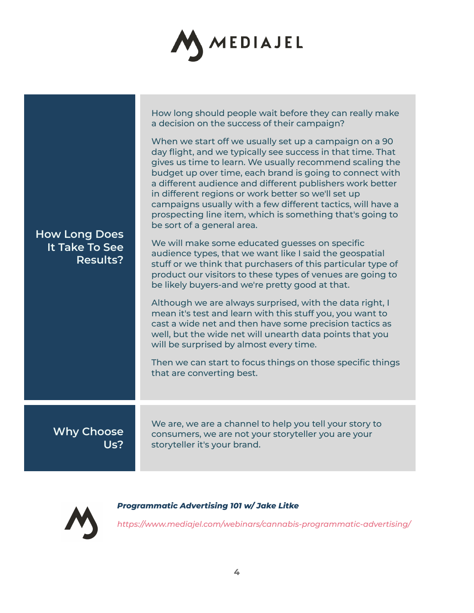

| <b>How Long Does</b><br>It Take To See<br><b>Results?</b> | How long should people wait before they can really make<br>a decision on the success of their campaign?<br>When we start off we usually set up a campaign on a 90<br>day flight, and we typically see success in that time. That<br>gives us time to learn. We usually recommend scaling the<br>budget up over time, each brand is going to connect with<br>a different audience and different publishers work better<br>in different regions or work better so we'll set up<br>campaigns usually with a few different tactics, will have a<br>prospecting line item, which is something that's going to<br>be sort of a general area.<br>We will make some educated guesses on specific<br>audience types, that we want like I said the geospatial<br>stuff or we think that purchasers of this particular type of<br>product our visitors to these types of venues are going to<br>be likely buyers-and we're pretty good at that.<br>Although we are always surprised, with the data right, I<br>mean it's test and learn with this stuff you, you want to<br>cast a wide net and then have some precision tactics as<br>well, but the wide net will unearth data points that you<br>will be surprised by almost every time.<br>Then we can start to focus things on those specific things<br>that are converting best. |
|-----------------------------------------------------------|----------------------------------------------------------------------------------------------------------------------------------------------------------------------------------------------------------------------------------------------------------------------------------------------------------------------------------------------------------------------------------------------------------------------------------------------------------------------------------------------------------------------------------------------------------------------------------------------------------------------------------------------------------------------------------------------------------------------------------------------------------------------------------------------------------------------------------------------------------------------------------------------------------------------------------------------------------------------------------------------------------------------------------------------------------------------------------------------------------------------------------------------------------------------------------------------------------------------------------------------------------------------------------------------------------------------------|
|                                                           |                                                                                                                                                                                                                                                                                                                                                                                                                                                                                                                                                                                                                                                                                                                                                                                                                                                                                                                                                                                                                                                                                                                                                                                                                                                                                                                            |
| <b>Why Choose</b><br>Us?                                  | We are, we are a channel to help you tell your story to<br>consumers, we are not your storyteller you are your<br>storyteller it's your brand.                                                                                                                                                                                                                                                                                                                                                                                                                                                                                                                                                                                                                                                                                                                                                                                                                                                                                                                                                                                                                                                                                                                                                                             |